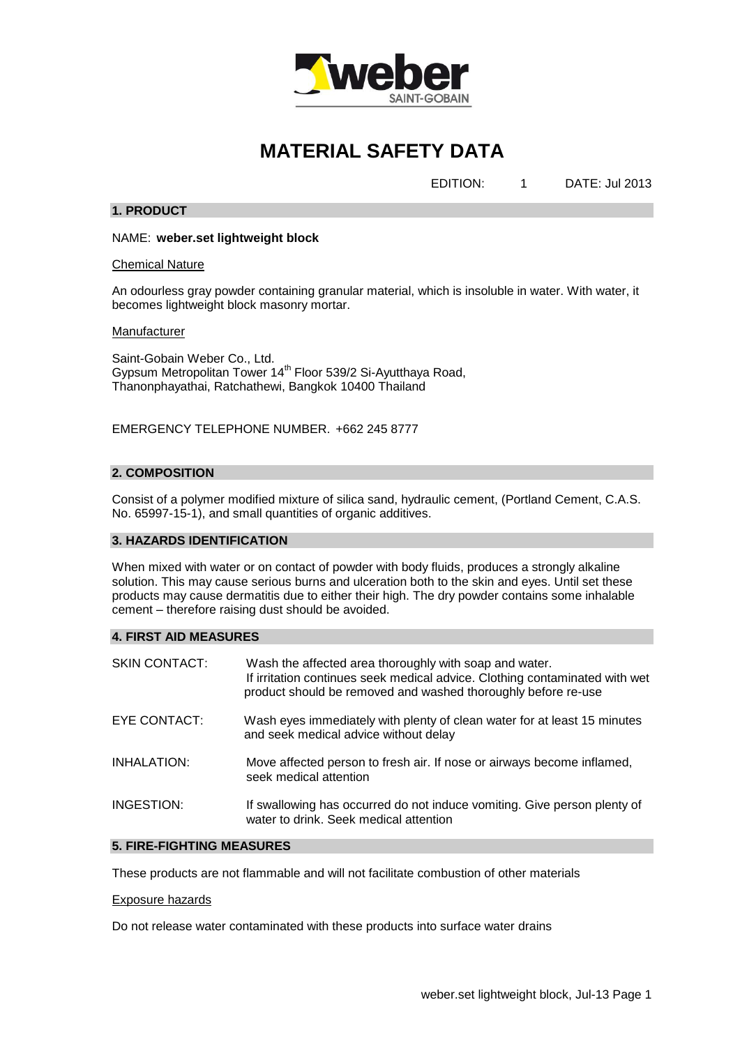

# **MATERIAL SAFETY DATA**

EDITION: 1 DATE: Jul 2013

# **1. PRODUCT**

NAME: **weber.set lightweight block**

Chemical Nature

An odourless gray powder containing granular material, which is insoluble in water. With water, it becomes lightweight block masonry mortar.

## **Manufacturer**

Saint-Gobain Weber Co., Ltd. Gypsum Metropolitan Tower 14<sup>th</sup> Floor 539/2 Si-Ayutthaya Road, Thanonphayathai, Ratchathewi, Bangkok 10400 Thailand

EMERGENCY TELEPHONE NUMBER. +662 245 8777

# **2. COMPOSITION**

Consist of a polymer modified mixture of silica sand, hydraulic cement, (Portland Cement, C.A.S. No. 65997-15-1), and small quantities of organic additives.

# **3. HAZARDS IDENTIFICATION**

When mixed with water or on contact of powder with body fluids, produces a strongly alkaline solution. This may cause serious burns and ulceration both to the skin and eyes. Until set these products may cause dermatitis due to either their high. The dry powder contains some inhalable cement – therefore raising dust should be avoided.

# **4. FIRST AID MEASURES**

| <b>SKIN CONTACT:</b> | Wash the affected area thoroughly with soap and water.<br>If irritation continues seek medical advice. Clothing contaminated with wet<br>product should be removed and washed thoroughly before re-use |
|----------------------|--------------------------------------------------------------------------------------------------------------------------------------------------------------------------------------------------------|
| EYE CONTACT:         | Wash eyes immediately with plenty of clean water for at least 15 minutes<br>and seek medical advice without delay                                                                                      |
| INHALATION:          | Move affected person to fresh air. If nose or airways become inflamed,<br>seek medical attention                                                                                                       |
| INGESTION:           | If swallowing has occurred do not induce vomiting. Give person plenty of<br>water to drink. Seek medical attention                                                                                     |

# **5. FIRE-FIGHTING MEASURES**

These products are not flammable and will not facilitate combustion of other materials

#### Exposure hazards

Do not release water contaminated with these products into surface water drains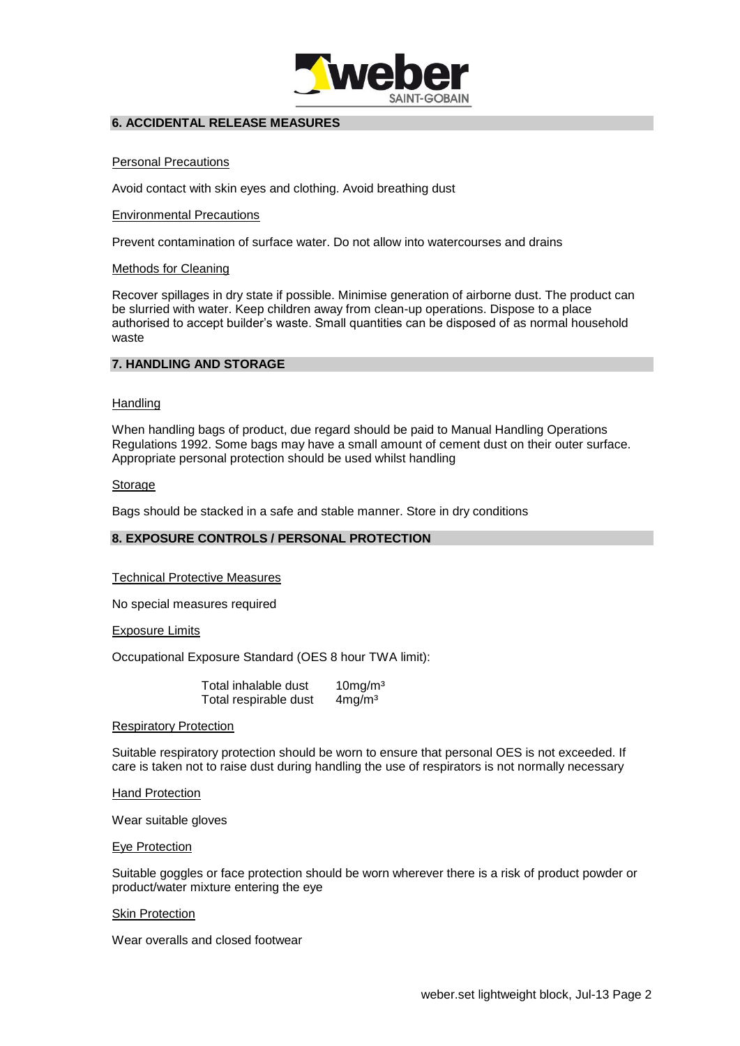

# **6. ACCIDENTAL RELEASE MEASURES**

# Personal Precautions

Avoid contact with skin eyes and clothing. Avoid breathing dust

# Environmental Precautions

Prevent contamination of surface water. Do not allow into watercourses and drains

# Methods for Cleaning

Recover spillages in dry state if possible. Minimise generation of airborne dust. The product can be slurried with water. Keep children away from clean-up operations. Dispose to a place authorised to accept builder's waste. Small quantities can be disposed of as normal household waste

# **7. HANDLING AND STORAGE**

# **Handling**

When handling bags of product, due regard should be paid to Manual Handling Operations Regulations 1992. Some bags may have a small amount of cement dust on their outer surface. Appropriate personal protection should be used whilst handling

# Storage

Bags should be stacked in a safe and stable manner. Store in dry conditions

# **8. EXPOSURE CONTROLS / PERSONAL PROTECTION**

# Technical Protective Measures

No special measures required

Exposure Limits

Occupational Exposure Standard (OES 8 hour TWA limit):

| Total inhalable dust  | 10mg/m <sup>3</sup> |
|-----------------------|---------------------|
| Total respirable dust | 4mg/m <sup>3</sup>  |

# Respiratory Protection

Suitable respiratory protection should be worn to ensure that personal OES is not exceeded. If care is taken not to raise dust during handling the use of respirators is not normally necessary

Hand Protection

Wear suitable gloves

# Eye Protection

Suitable goggles or face protection should be worn wherever there is a risk of product powder or product/water mixture entering the eye

# **Skin Protection**

Wear overalls and closed footwear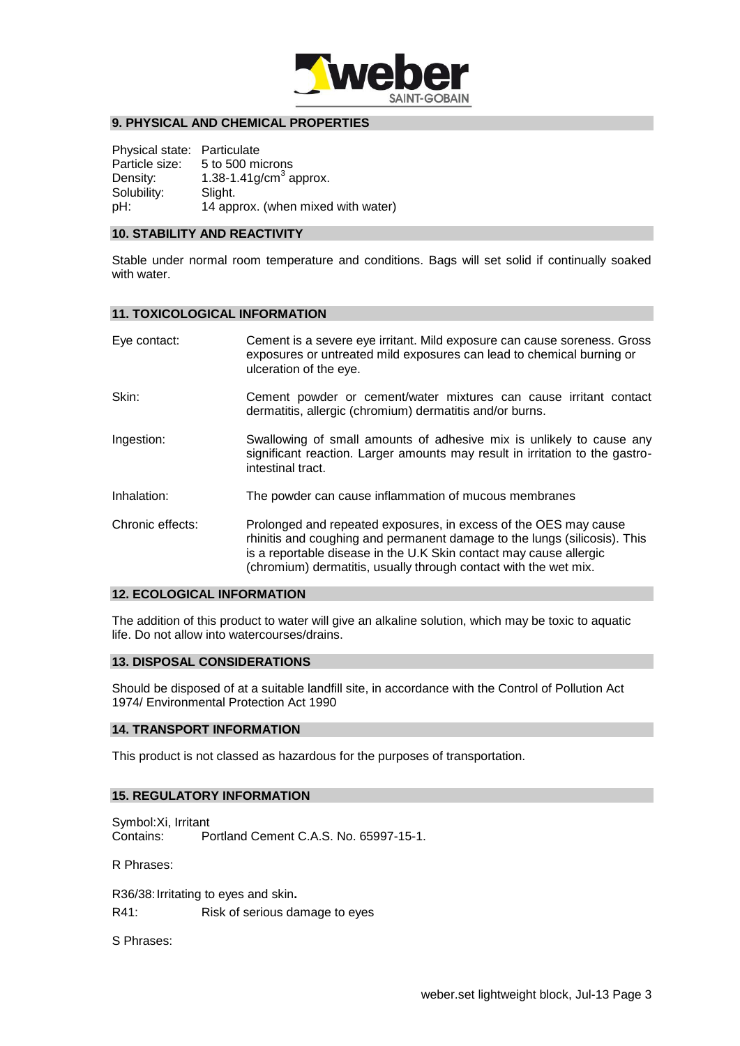

# **9. PHYSICAL AND CHEMICAL PROPERTIES**

Physical state: Particulate Particle size: 5 to 500 microns Density:  $1.38 - 1.41$ g/cm<sup>3</sup> approx. Solubility: Slight. pH: 14 approx. (when mixed with water)

## **10. STABILITY AND REACTIVITY**

Stable under normal room temperature and conditions. Bags will set solid if continually soaked with water.

#### **11. TOXICOLOGICAL INFORMATION**

| Eye contact:     | Cement is a severe eye irritant. Mild exposure can cause soreness. Gross<br>exposures or untreated mild exposures can lead to chemical burning or<br>ulceration of the eye.                                                                                                             |
|------------------|-----------------------------------------------------------------------------------------------------------------------------------------------------------------------------------------------------------------------------------------------------------------------------------------|
| Skin:            | Cement powder or cement/water mixtures can cause irritant contact<br>dermatitis, allergic (chromium) dermatitis and/or burns.                                                                                                                                                           |
| Ingestion:       | Swallowing of small amounts of adhesive mix is unlikely to cause any<br>significant reaction. Larger amounts may result in irritation to the gastro-<br>intestinal tract.                                                                                                               |
| Inhalation:      | The powder can cause inflammation of mucous membranes                                                                                                                                                                                                                                   |
| Chronic effects: | Prolonged and repeated exposures, in excess of the OES may cause<br>rhinitis and coughing and permanent damage to the lungs (silicosis). This<br>is a reportable disease in the U.K Skin contact may cause allergic<br>(chromium) dermatitis, usually through contact with the wet mix. |

## **12. ECOLOGICAL INFORMATION**

The addition of this product to water will give an alkaline solution, which may be toxic to aquatic life. Do not allow into watercourses/drains.

## **13. DISPOSAL CONSIDERATIONS**

Should be disposed of at a suitable landfill site, in accordance with the Control of Pollution Act 1974/ Environmental Protection Act 1990

## **14. TRANSPORT INFORMATION**

This product is not classed as hazardous for the purposes of transportation.

## **15. REGULATORY INFORMATION**

Symbol:Xi, Irritant Contains: Portland Cement C.A.S. No. 65997-15-1.

R Phrases:

R36/38:Irritating to eyes and skin**.** R41: Risk of serious damage to eyes

S Phrases: